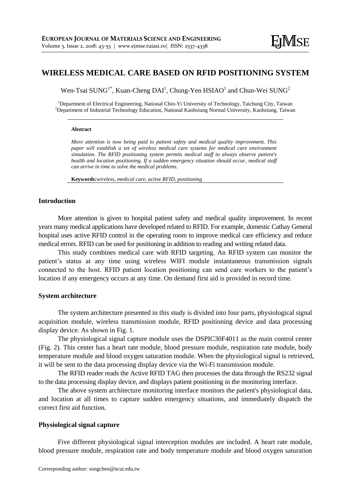# **WIRELESS MEDICAL CARE BASED ON RFID POSITIONING SYSTEM**

Wen-Tsai SUNG<sup>1\*</sup>, Kuan-Cheng DAI<sup>1</sup>, Chung-Yen HSIAO<sup>1</sup> and Chun-Wei SUNG<sup>2</sup>

<sup>1</sup>Department of Electrical Engineering, National Chin-Yi University of Technology, Taichung City, Taiwan <sup>2</sup>Department of Industrial Technology Education, National Kaohsiung Normal University, Kaohsiung, Taiwan

#### **Abstract**

*More attention is now being paid to patient safety and medical quality improvement. This paper will establish a set of wireless medical care systems for medical care environment simulation. The RFID positioning system permits medical staff to always observe patient's health and location positioning. If a sudden emergency situation should occur, medical staff can arrive in time to solve the medical problems.*

**Keywords***:wireless, medical care, active RFID, positioning* 

## **Introduction**

More attention is given to hospital patient safety and medical quality improvement. In recent years many medical applications have developed related to RFID. For example, domestic Cathay General hospital uses active RFID control in the operating room to improve medical care efficiency and reduce medical errors. RFID can be used for positioning in addition to reading and writing related data.

This study combines medical care with RFID targeting. An RFID system can monitor the patient's status at any time using wireless WIFI module instantaneous transmission signals connected to the host. RFID patient location positioning can send care workers to the patient's location if any emergency occurs at any time. On demand first aid is provided in record time.

#### **System architecture**

The system architecture presented in this study is divided into four parts, physiological signal acquisition module, wireless transmission module, RFID positioning device and data processing display device. As shown in Fig. 1.

The physiological signal capture module uses the DSPIC30F4011 as the main control center (Fig. 2). This center has a heart rate module, blood pressure module, respiration rate module, body temperature module and blood oxygen saturation module. When the physiological signal is retrieved, it will be sent to the data processing display device via the Wi-Fi transmission module.

The RFID reader reads the Active RFID TAG then processes the data through the RS232 signal to the data processing display device, and displays patient positioning in the monitoring interface.

The above system architecture monitoring interface monitors the patient's physiological data, and location at all times to capture sudden emergency situations, and immediately dispatch the correct first aid function.

### **Physiological signal capture**

Five different physiological signal interception modules are included. A heart rate module, blood pressure module, respiration rate and body temperature module and blood oxygen saturation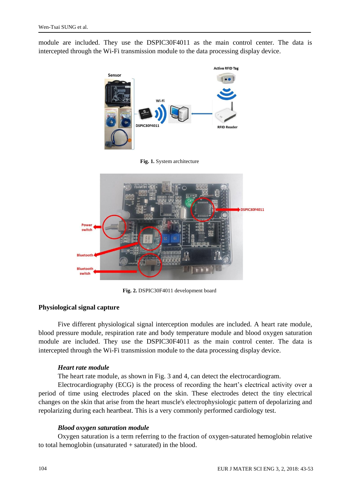module are included. They use the DSPIC30F4011 as the main control center. The data is intercepted through the Wi-Fi transmission module to the data processing display device.



**Fig. 1.** System architecture



**Fig. 2.** DSPIC30F4011 development board

# **Physiological signal capture**

Five different physiological signal interception modules are included. A heart rate module, blood pressure module, respiration rate and body temperature module and blood oxygen saturation module are included. They use the DSPIC30F4011 as the main control center. The data is intercepted through the Wi-Fi transmission module to the data processing display device.

### *Heart rate module*

The heart rate module, as shown in Fig. 3 and 4, can detect the electrocardiogram.

Electrocardiography (ECG) is the process of recording the heart's electrical activity over a period of time using electrodes placed on the skin. These electrodes detect the tiny electrical changes on the skin that arise from the heart muscle's electrophysiologic pattern of depolarizing and repolarizing during each heartbeat. This is a very commonly performed cardiology test.

### *Blood oxygen saturation module*

Oxygen saturation is a term referring to the fraction of oxygen-saturated hemoglobin relative to total hemoglobin (unsaturated  $+$  saturated) in the blood.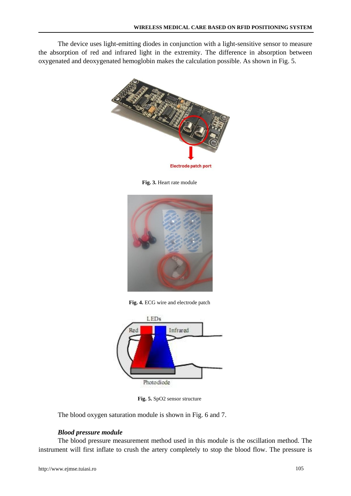The device uses light-emitting diodes in conjunction with a light-sensitive sensor to measure the absorption of red and infrared light in the extremity. The difference in absorption between oxygenated and deoxygenated hemoglobin makes the calculation possible. As shown in Fig. 5.



**Fig. 3.** Heart rate module



**Fig. 4.** ECG wire and electrode patch



**Fig. 5.** SpO2 sensor structure

The blood oxygen saturation module is shown in Fig. 6 and 7.

# *Blood pressure module*

The blood pressure measurement method used in this module is the oscillation method. The instrument will first inflate to crush the artery completely to stop the blood flow. The pressure is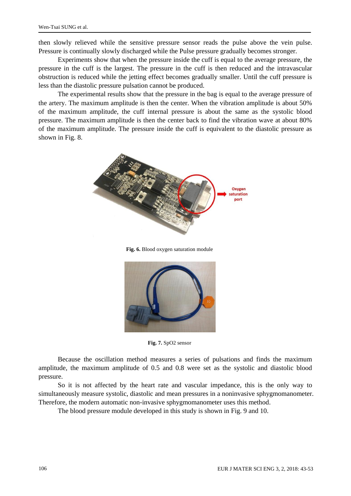then slowly relieved while the sensitive pressure sensor reads the pulse above the vein pulse. Pressure is continually slowly discharged while the Pulse pressure gradually becomes stronger.

Experiments show that when the pressure inside the cuff is equal to the average pressure, the pressure in the cuff is the largest. The pressure in the cuff is then reduced and the intravascular obstruction is reduced while the jetting effect becomes gradually smaller. Until the cuff pressure is less than the diastolic pressure pulsation cannot be produced.

The experimental results show that the pressure in the bag is equal to the average pressure of the artery. The maximum amplitude is then the center. When the vibration amplitude is about 50% of the maximum amplitude, the cuff internal pressure is about the same as the systolic blood pressure. The maximum amplitude is then the center back to find the vibration wave at about 80% of the maximum amplitude. The pressure inside the cuff is equivalent to the diastolic pressure as shown in Fig. 8.



**Fig. 6.** Blood oxygen saturation module



**Fig. 7.** SpO2 sensor

Because the oscillation method measures a series of pulsations and finds the maximum amplitude, the maximum amplitude of 0.5 and 0.8 were set as the systolic and diastolic blood pressure.

So it is not affected by the heart rate and vascular impedance, this is the only way to simultaneously measure systolic, diastolic and mean pressures in a noninvasive sphygmomanometer. Therefore, the modern automatic non-invasive sphygmomanometer uses this method.

The blood pressure module developed in this study is shown in Fig. 9 and 10.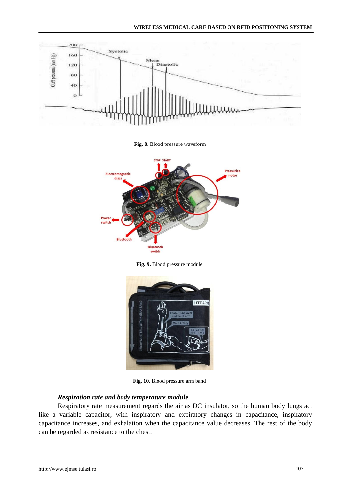

**Fig. 8.** Blood pressure waveform



**Fig. 9.** Blood pressure module



**Fig. 10.** Blood pressure arm band

### *Respiration rate and body temperature module*

Respiratory rate measurement regards the air as DC insulator, so the human body lungs act like a variable capacitor, with inspiratory and expiratory changes in capacitance, inspiratory capacitance increases, and exhalation when the capacitance value decreases. The rest of the body can be regarded as resistance to the chest.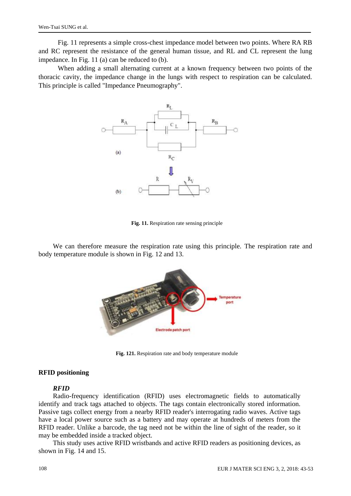Fig. 11 represents a simple cross-chest impedance model between two points. Where RA RB and RC represent the resistance of the general human tissue, and RL and CL represent the lung impedance. In Fig. 11 (a) can be reduced to (b).

When adding a small alternating current at a known frequency between two points of the thoracic cavity, the impedance change in the lungs with respect to respiration can be calculated. This principle is called "Impedance Pneumography".



**Fig. 11.** Respiration rate sensing principle

We can therefore measure the respiration rate using this principle. The respiration rate and body temperature module is shown in Fig. 12 and 13.



**Fig. 121.** Respiration rate and body temperature module

#### **RFID positioning**

#### *RFID*

Radio-frequency identification (RFID) uses electromagnetic fields to automatically identify and track tags attached to objects. The tags contain electronically stored information. Passive tags collect energy from a nearby RFID reader's interrogating radio waves. Active tags have a local power source such as a battery and may operate at hundreds of meters from the RFID reader. Unlike a barcode, the tag need not be within the line of sight of the reader, so it may be embedded inside a tracked object.

This study uses active RFID wristbands and active RFID readers as positioning devices, as shown in Fig. 14 and 15.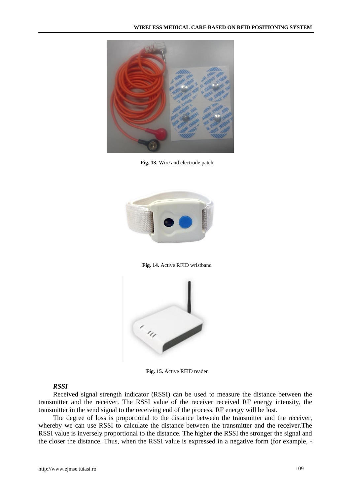

**Fig. 13.** Wire and electrode patch



**Fig. 14.** Active RFID wristband



**Fig. 15.** Active RFID reader

### *RSSI*

Received signal strength indicator (RSSI) can be used to measure the distance between the transmitter and the receiver. The RSSI value of the receiver received RF energy intensity, the transmitter in the send signal to the receiving end of the process, RF energy will be lost.

The degree of loss is proportional to the distance between the transmitter and the receiver, whereby we can use RSSI to calculate the distance between the transmitter and the receiver.The RSSI value is inversely proportional to the distance. The higher the RSSI the stronger the signal and the closer the distance. Thus, when the RSSI value is expressed in a negative form (for example, -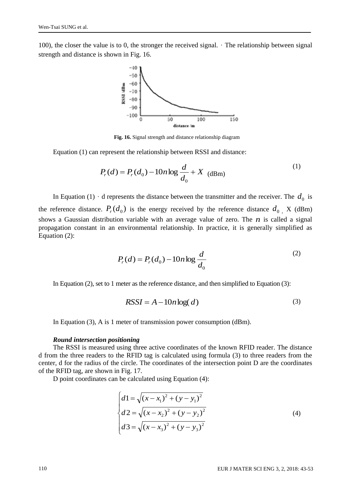100), the closer the value is to 0, the stronger the received signal.  $\cdot$  The relationship between signal strength and distance is shown in Fig. 16.



**Fig. 16.** Signal strength and distance relationship diagram

Equation (1) can represent the relationship between RSSI and distance:

$$
P_r(d) = P_r(d_0) - 10n \log \frac{d}{d_0} + X \text{ (dBm)}
$$
 (1)

In Equation (1)  $\cdot$  d represents the distance between the transmitter and the receiver. The  $d_0$  is the reference distance.  $P_r(d_0)$  is the energy received by the reference distance  $d_0$ . X (dBm) shows a Gaussian distribution variable with an average value of zero. The  $n$  is called a signal propagation constant in an environmental relationship. In practice, it is generally simplified as Equation (2):

$$
P_r(d) = P_r(d_0) - 10n \log \frac{d}{d_0}
$$
 (2)

In Equation (2), set to 1 meter as the reference distance, and then simplified to Equation (3):

$$
RSSI = A - 10n \log(d)
$$
\n(3)

In Equation (3), A is 1 meter of transmission power consumption (dBm).

#### *Round intersection positioning*

The RSSI is measured using three active coordinates of the known RFID reader. The distance d from the three readers to the RFID tag is calculated using formula (3) to three readers from the center, d for the radius of the circle. The coordinates of the intersection point D are the coordinates of the RFID tag, are shown in Fig. 17.

D point coordinates can be calculated using Equation (4):

$$
\begin{cases}\nd1 = \sqrt{(x - x_1)^2 + (y - y_1)^2} \\
d2 = \sqrt{(x - x_2)^2 + (y - y_2)^2} \\
d3 = \sqrt{(x - x_3)^2 + (y - y_3)^2}\n\end{cases}
$$
\n(4)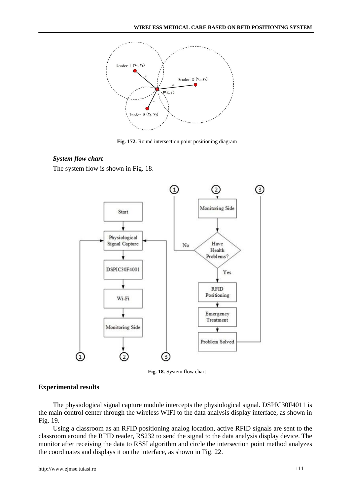

**Fig. 172.** Round intersection point positioning diagram

### *System flow chart*

The system flow is shown in Fig. 18.



**Fig. 18.** System flow chart

### **Experimental results**

The physiological signal capture module intercepts the physiological signal. DSPIC30F4011 is the main control center through the wireless WIFI to the data analysis display interface, as shown in Fig. 19.

Using a classroom as an RFID positioning analog location, active RFID signals are sent to the classroom around the RFID reader, RS232 to send the signal to the data analysis display device. The monitor after receiving the data to RSSI algorithm and circle the intersection point method analyzes the coordinates and displays it on the interface, as shown in Fig. 22.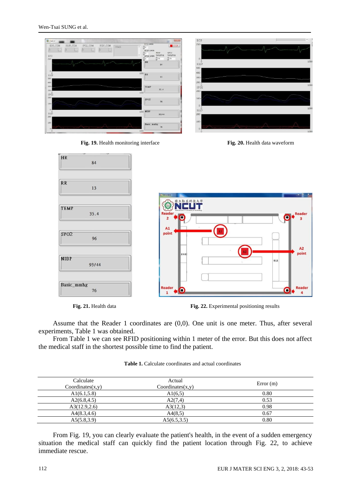| <b>BE</b> main.vi                                                                                                                               |                                                                                                                                                | $-1$<br>ECO                    |
|-------------------------------------------------------------------------------------------------------------------------------------------------|------------------------------------------------------------------------------------------------------------------------------------------------|--------------------------------|
| ECG_COM<br>SPO2_COM<br>RESP_COM<br>NIBP_COM<br>COM3<br>$\overline{ \cdot }$<br>$\left\vert \mathbf{e}\right\vert$<br>$\boxed{\Box}$<br>o<br>ECG | ECG_GAIN<br>STOP<br>$\frac{\partial f}{\partial t}$ 4<br>$\sim$<br><b>RESP_GAIN</b><br>SPO <sub>2</sub><br><b>RESP</b><br>Sampling<br>Sampling | $250 -$                        |
| 250                                                                                                                                             | SPO2_GAIN<br>25<br>25<br>š4<br><b>HR</b><br>84                                                                                                 | $\circ$<br>1000<br>RESP<br>500 |
| RESP<br>500                                                                                                                                     | $1000$ RR<br>13                                                                                                                                | 400<br>300                     |
| 400<br>$300 -$<br>$200 -$<br>STO2                                                                                                               | TEMP<br>35.4<br>1000                                                                                                                           | 200<br>1000<br>SPO2<br>$200 -$ |
| 200-<br>100                                                                                                                                     | SPO <sub>2</sub><br>96                                                                                                                         | $100 -$<br>$\circ$             |
| $\circ$<br><b>NIBP</b><br>$200 -$                                                                                                               | 1000 NIBP<br>93/44                                                                                                                             | 1000<br>NIBP<br>$200 -$        |
| $100 -$                                                                                                                                         | Basic_mmhg<br>76<br>1000                                                                                                                       | 100<br>1000                    |

Fig. 19. Health monitoring interface **Fig. 20.** Health data waveform



Fig. 21. Health data **Fig. 22.** Experimental positioning results

Assume that the Reader 1 coordinates are (0,0). One unit is one meter. Thus, after several experiments, Table 1 was obtained.

From Table 1 we can see RFID positioning within 1 meter of the error. But this does not affect the medical staff in the shortest possible time to find the patient.

**Table 1.** Calculate coordinates and actual coordinates

| Calculate<br>Coordinates(x,y) | Actual<br>Coordinates(x,y) | Error(m) |
|-------------------------------|----------------------------|----------|
| A1(6.1, 5.8)                  | A1(6,5)                    | 0.80     |
| A2(6.8, 4.5)                  | A2(7,4)                    | 0.53     |
| A3(12.9, 2.6)                 | A3(12,3)                   | 0.98     |
| A4(8.3, 4.6)                  | A4(8,5)                    | 0.67     |
| A5(5.8, 3.9)                  | A5(6.5, 3.5)               | 0.80     |

From Fig. 19, you can clearly evaluate the patient's health, in the event of a sudden emergency situation the medical staff can quickly find the patient location through Fig. 22, to achieve immediate rescue.